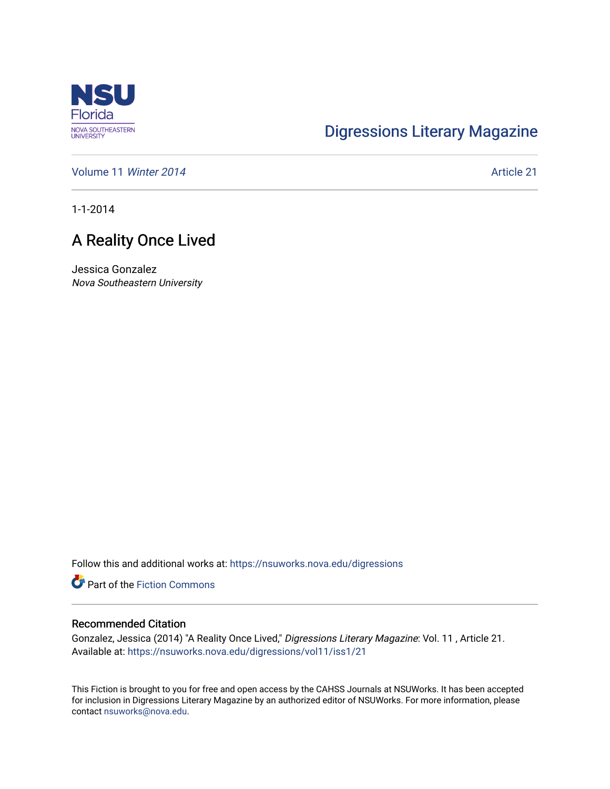

# [Digressions Literary Magazine](https://nsuworks.nova.edu/digressions)

[Volume 11](https://nsuworks.nova.edu/digressions/vol11) Winter 2014 **Article 21** Article 21

1-1-2014

## A Reality Once Lived

Jessica Gonzalez Nova Southeastern University

Follow this and additional works at: [https://nsuworks.nova.edu/digressions](https://nsuworks.nova.edu/digressions?utm_source=nsuworks.nova.edu%2Fdigressions%2Fvol11%2Fiss1%2F21&utm_medium=PDF&utm_campaign=PDFCoverPages) 

Part of the [Fiction Commons](http://network.bepress.com/hgg/discipline/1151?utm_source=nsuworks.nova.edu%2Fdigressions%2Fvol11%2Fiss1%2F21&utm_medium=PDF&utm_campaign=PDFCoverPages) 

#### Recommended Citation

Gonzalez, Jessica (2014) "A Reality Once Lived," Digressions Literary Magazine: Vol. 11 , Article 21. Available at: [https://nsuworks.nova.edu/digressions/vol11/iss1/21](https://nsuworks.nova.edu/digressions/vol11/iss1/21?utm_source=nsuworks.nova.edu%2Fdigressions%2Fvol11%2Fiss1%2F21&utm_medium=PDF&utm_campaign=PDFCoverPages)

This Fiction is brought to you for free and open access by the CAHSS Journals at NSUWorks. It has been accepted for inclusion in Digressions Literary Magazine by an authorized editor of NSUWorks. For more information, please contact [nsuworks@nova.edu.](mailto:nsuworks@nova.edu)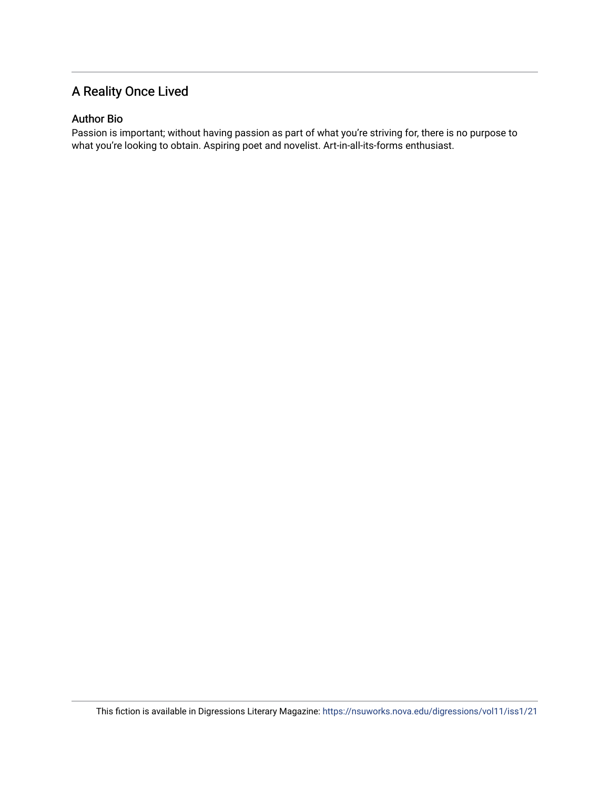## A Reality Once Lived

### Author Bio

Passion is important; without having passion as part of what you're striving for, there is no purpose to what you're looking to obtain. Aspiring poet and novelist. Art-in-all-its-forms enthusiast.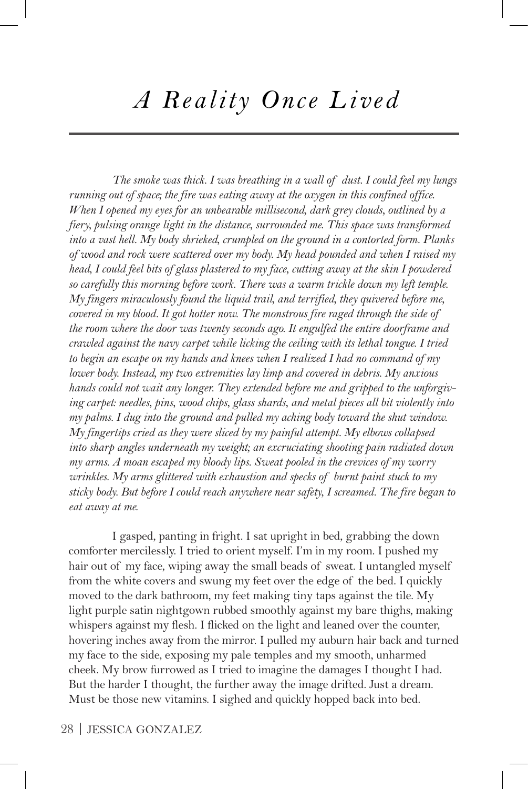# *A Reality Once Lived*

*The smoke was thick. I was breathing in a wall of dust. I could feel my lungs running out of space; the fire was eating away at the oxygen in this confined office. When I opened my eyes for an unbearable millisecond, dark grey clouds, outlined by a fiery, pulsing orange light in the distance, surrounded me. This space was transformed into a vast hell. My body shrieked, crumpled on the ground in a contorted form. Planks of wood and rock were scattered over my body. My head pounded and when I raised my head, I could feel bits of glass plastered to my face, cutting away at the skin I powdered so carefully this morning before work. There was a warm trickle down my left temple. My fingers miraculously found the liquid trail, and terrified, they quivered before me, covered in my blood. It got hotter now. The monstrous fire raged through the side of the room where the door was twenty seconds ago. It engulfed the entire doorframe and crawled against the navy carpet while licking the ceiling with its lethal tongue. I tried to begin an escape on my hands and knees when I realized I had no command of my lower body. Instead, my two extremities lay limp and covered in debris. My anxious hands could not wait any longer. They extended before me and gripped to the unforgiving carpet: needles, pins, wood chips, glass shards, and metal pieces all bit violently into my palms. I dug into the ground and pulled my aching body toward the shut window. My fingertips cried as they were sliced by my painful attempt. My elbows collapsed into sharp angles underneath my weight; an excruciating shooting pain radiated down my arms. A moan escaped my bloody lips. Sweat pooled in the crevices of my worry wrinkles. My arms glittered with exhaustion and specks of burnt paint stuck to my sticky body. But before I could reach anywhere near safety, I screamed. The fire began to eat away at me.*

I gasped, panting in fright. I sat upright in bed, grabbing the down comforter mercilessly. I tried to orient myself. I'm in my room. I pushed my hair out of my face, wiping away the small beads of sweat. I untangled myself from the white covers and swung my feet over the edge of the bed. I quickly moved to the dark bathroom, my feet making tiny taps against the tile. My light purple satin nightgown rubbed smoothly against my bare thighs, making whispers against my flesh. I flicked on the light and leaned over the counter, hovering inches away from the mirror. I pulled my auburn hair back and turned my face to the side, exposing my pale temples and my smooth, unharmed cheek. My brow furrowed as I tried to imagine the damages I thought I had. But the harder I thought, the further away the image drifted. Just a dream. Must be those new vitamins. I sighed and quickly hopped back into bed.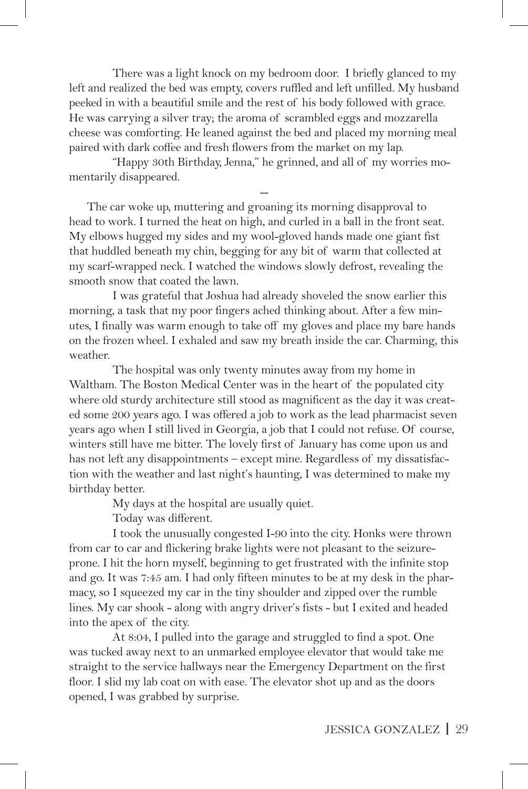There was a light knock on my bedroom door. I briefly glanced to my left and realized the bed was empty, covers ruffled and left unfilled. My husband peeked in with a beautiful smile and the rest of his body followed with grace. He was carrying a silver tray; the aroma of scrambled eggs and mozzarella cheese was comforting. He leaned against the bed and placed my morning meal paired with dark coffee and fresh flowers from the market on my lap.

"Happy 30th Birthday, Jenna," he grinned, and all of my worries momentarily disappeared.

--

 The car woke up, muttering and groaning its morning disapproval to head to work. I turned the heat on high, and curled in a ball in the front seat. My elbows hugged my sides and my wool-gloved hands made one giant fist that huddled beneath my chin, begging for any bit of warm that collected at my scarf-wrapped neck. I watched the windows slowly defrost, revealing the smooth snow that coated the lawn.

I was grateful that Joshua had already shoveled the snow earlier this morning, a task that my poor fingers ached thinking about. After a few minutes, I finally was warm enough to take off my gloves and place my bare hands on the frozen wheel. I exhaled and saw my breath inside the car. Charming, this weather.

The hospital was only twenty minutes away from my home in Waltham. The Boston Medical Center was in the heart of the populated city where old sturdy architecture still stood as magnificent as the day it was created some 200 years ago. I was offered a job to work as the lead pharmacist seven years ago when I still lived in Georgia, a job that I could not refuse. Of course, winters still have me bitter. The lovely first of January has come upon us and has not left any disappointments – except mine. Regardless of my dissatisfaction with the weather and last night's haunting, I was determined to make my birthday better.

My days at the hospital are usually quiet.

Today was different.

I took the unusually congested I-90 into the city. Honks were thrown from car to car and flickering brake lights were not pleasant to the seizureprone. I hit the horn myself, beginning to get frustrated with the infinite stop and go. It was 7:45 am. I had only fifteen minutes to be at my desk in the pharmacy, so I squeezed my car in the tiny shoulder and zipped over the rumble lines. My car shook - along with angry driver's fists - but I exited and headed into the apex of the city.

At 8:04, I pulled into the garage and struggled to find a spot. One was tucked away next to an unmarked employee elevator that would take me straight to the service hallways near the Emergency Department on the first floor. I slid my lab coat on with ease. The elevator shot up and as the doors opened, I was grabbed by surprise.